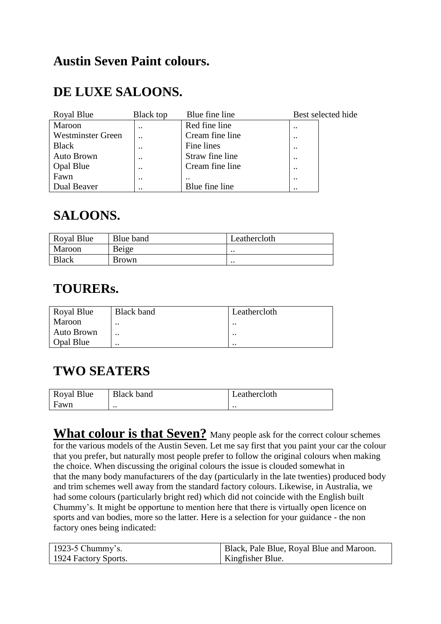### **Austin Seven Paint colours.**

# **DE LUXE SALOONS.**

| Royal Blue               | <b>Black top</b> | Blue fine line  | Best selected hide   |
|--------------------------|------------------|-----------------|----------------------|
| Maroon                   | $\cdot$ .        | Red fine line   | $\cdot$ .            |
| <b>Westminster Green</b> |                  | Cream fine line | $\cdot$ .            |
| <b>Black</b>             | $\cdot$ $\cdot$  | Fine lines      | $\cdot$ .            |
| Auto Brown               | $\cdot$ .        | Straw fine line | $\cdot$ .            |
| <b>Opal Blue</b>         | $\cdot$ $\cdot$  | Cream fine line | $\cdot$ .            |
| Fawn                     | $\cdot$ $\cdot$  | $\cdot$ .       | $\ddot{\phantom{0}}$ |
| Dual Beaver              | $\cdot$ .        | Blue fine line  | $\ddot{\phantom{0}}$ |

### **SALOONS.**

| Royal Blue | Blue band | Leathercloth  |
|------------|-----------|---------------|
| Maroon     | Beige     | $\cdot\cdot$  |
| Black      | Brown     | $\cdot \cdot$ |

#### **TOURERs.**

| Royal Blue | <b>Black band</b> | Leathercloth    |
|------------|-------------------|-----------------|
| Maroon     | $\cdot$ .         | $\cdot$ $\cdot$ |
| Auto Brown |                   | $\cdot$ $\cdot$ |
| Opal Blue  | $\cdot$ $\cdot$   | $\cdot$ $\cdot$ |

## **TWO SEATERS**

| Royal Blue | <b>Black band</b> | Leathercloth    |
|------------|-------------------|-----------------|
| Fawn       | $\cdot$ $\cdot$   | $\cdot$ $\cdot$ |

**What colour is that Seven?** Many people ask for the correct colour schemes for the various models of the Austin Seven. Let me say first that you paint your car the colour that you prefer, but naturally most people prefer to follow the original colours when making the choice. When discussing the original colours the issue is clouded somewhat in that the many body manufacturers of the day (particularly in the late twenties) produced body and trim schemes well away from the standard factory colours. Likewise, in Australia, we had some colours (particularly bright red) which did not coincide with the English built Chummy's. It might be opportune to mention here that there is virtually open licence on sports and van bodies, more so the latter. Here is a selection for your guidance - the non factory ones being indicated:

| 1923-5 Chummy's.     | Black, Pale Blue, Royal Blue and Maroon. |
|----------------------|------------------------------------------|
| 1924 Factory Sports. | <b>Kingfisher Blue.</b>                  |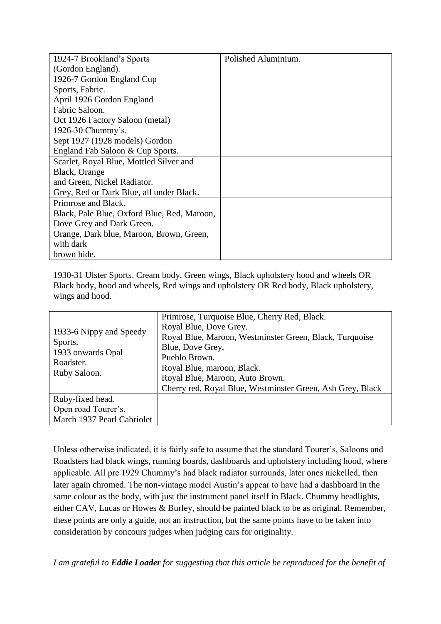| 1924-7 Brookland's Sports                   | Polished Aluminium. |
|---------------------------------------------|---------------------|
| (Gordon England).                           |                     |
| 1926-7 Gordon England Cup                   |                     |
| Sports, Fabric.                             |                     |
| April 1926 Gordon England                   |                     |
| Fabric Saloon.                              |                     |
| Oct 1926 Factory Saloon (metal)             |                     |
| 1926-30 Chummy's.                           |                     |
| Sept 1927 (1928 models) Gordon              |                     |
| England Fab Saloon & Cup Sports.            |                     |
| Scarlet, Royal Blue, Mottled Silver and     |                     |
| Black, Orange                               |                     |
| and Green, Nickel Radiator.                 |                     |
| Grey, Red or Dark Blue, all under Black.    |                     |
| Primrose and Black.                         |                     |
| Black, Pale Blue, Oxford Blue, Red, Maroon, |                     |
| Dove Grey and Dark Green.                   |                     |
| Orange, Dark blue, Maroon, Brown, Green,    |                     |
| with dark                                   |                     |
| brown hide.                                 |                     |

1930-31 Ulster Sports. Cream body, Green wings, Black upholstery hood and wheels OR Black body, hood and wheels, Red wings and upholstery OR Red body, Black upholstery, wings and hood.

| 1933-6 Nippy and Speedy<br>Sports.<br>1933 onwards Opal<br>Roadster.<br>Ruby Saloon. | Primrose, Turquoise Blue, Cherry Red, Black.<br>Royal Blue, Dove Grey.<br>Royal Blue, Maroon, Westminster Green, Black, Turquoise<br>Blue, Dove Grey,<br>Pueblo Brown.<br>Royal Blue, maroon, Black.<br>Royal Blue, Maroon, Auto Brown.<br>Cherry red, Royal Blue, Westminster Green, Ash Grey, Black |
|--------------------------------------------------------------------------------------|-------------------------------------------------------------------------------------------------------------------------------------------------------------------------------------------------------------------------------------------------------------------------------------------------------|
| Ruby-fixed head.                                                                     |                                                                                                                                                                                                                                                                                                       |
| Open road Tourer's.                                                                  |                                                                                                                                                                                                                                                                                                       |
| March 1937 Pearl Cabriolet                                                           |                                                                                                                                                                                                                                                                                                       |

Unless otherwise indicated, it is fairly safe to assume that the standard Tourer's, Saloons and Roadsters had black wings, running boards, dashboards and upholstery including hood, where applicable. All pre 1929 Chummy's had black radiator surrounds, later ones nickelled, then later again chromed. The non-vintage model Austin's appear to have had a dashboard in the same colour as the body, with just the instrument panel itself in Black. Chummy headlights, either CAV, Lucas or Howes & Burley, should be painted black to be as original. Remember, these points are only a guide, not an instruction, but the same points have to be taken into consideration by concours judges when judging cars for originality.

*I am grateful to Eddie Loader for suggesting that this article be reproduced for the benefit of*